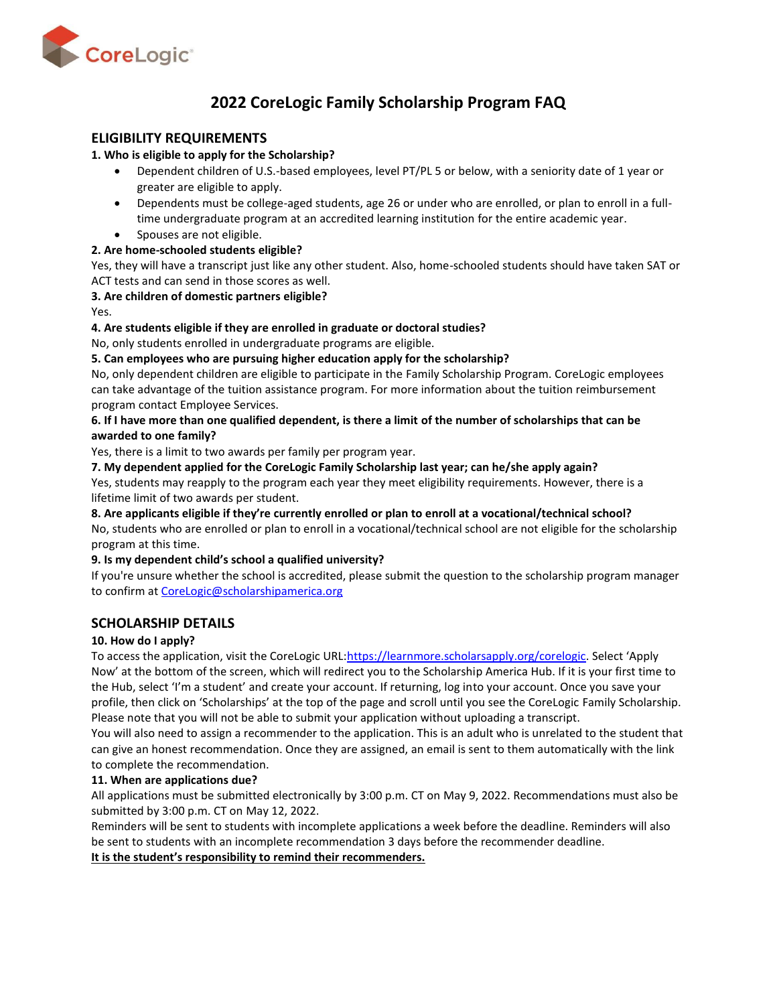

# **2022 CoreLogic Family Scholarship Program FAQ**

# **ELIGIBILITY REQUIREMENTS**

#### **1. Who is eligible to apply for the Scholarship?**

- Dependent children of U.S.-based employees, level PT/PL 5 or below, with a seniority date of 1 year or greater are eligible to apply.
- Dependents must be college-aged students, age 26 or under who are enrolled, or plan to enroll in a fulltime undergraduate program at an accredited learning institution for the entire academic year.
- Spouses are not eligible.

# **2. Are home-schooled students eligible?**

Yes, they will have a transcript just like any other student. Also, home-schooled students should have taken SAT or ACT tests and can send in those scores as well.

# **3. Are children of domestic partners eligible?**

Yes.

# **4. Are students eligible if they are enrolled in graduate or doctoral studies?**

No, only students enrolled in undergraduate programs are eligible.

# **5. Can employees who are pursuing higher education apply for the scholarship?**

No, only dependent children are eligible to participate in the Family Scholarship Program. CoreLogic employees can take advantage of the tuition assistance program. For more information about the tuition reimbursement program contact Employee Services.

# **6. If I have more than one qualified dependent, is there a limit of the number of scholarships that can be awarded to one family?**

Yes, there is a limit to two awards per family per program year.

**7. My dependent applied for the CoreLogic Family Scholarship last year; can he/she apply again?**

Yes, students may reapply to the program each year they meet eligibility requirements. However, there is a lifetime limit of two awards per student.

#### **8. Are applicants eligible if they're currently enrolled or plan to enroll at a vocational/technical school?** No, students who are enrolled or plan to enroll in a vocational/technical school are not eligible for the scholarship program at this time.

# **9. Is my dependent child's school a qualified university?**

If you're unsure whether the school is accredited, please submit the question to the scholarship program manager to confirm at [CoreLogic@scholarshipamerica.org](mailto:CoreLogic@scholarshipamerica.org)

# **SCHOLARSHIP DETAILS**

# **10. How do I apply?**

To access the application, visit the CoreLogic URL[:https://learnmore.scholarsapply.org/corelogic.](https://learnmore.scholarsapply.org/corelogic) Select 'Apply Now' at the bottom of the screen, which will redirect you to the Scholarship America Hub. If it is your first time to the Hub, select 'I'm a student' and create your account. If returning, log into your account. Once you save your profile, then click on 'Scholarships' at the top of the page and scroll until you see the CoreLogic Family Scholarship. Please note that you will not be able to submit your application without uploading a transcript.

You will also need to assign a recommender to the application. This is an adult who is unrelated to the student that can give an honest recommendation. Once they are assigned, an email is sent to them automatically with the link to complete the recommendation.

# **11. When are applications due?**

All applications must be submitted electronically by 3:00 p.m. CT on May 9, 2022. Recommendations must also be submitted by 3:00 p.m. CT on May 12, 2022.

Reminders will be sent to students with incomplete applications a week before the deadline. Reminders will also be sent to students with an incomplete recommendation 3 days before the recommender deadline. **It is the student's responsibility to remind their recommenders.**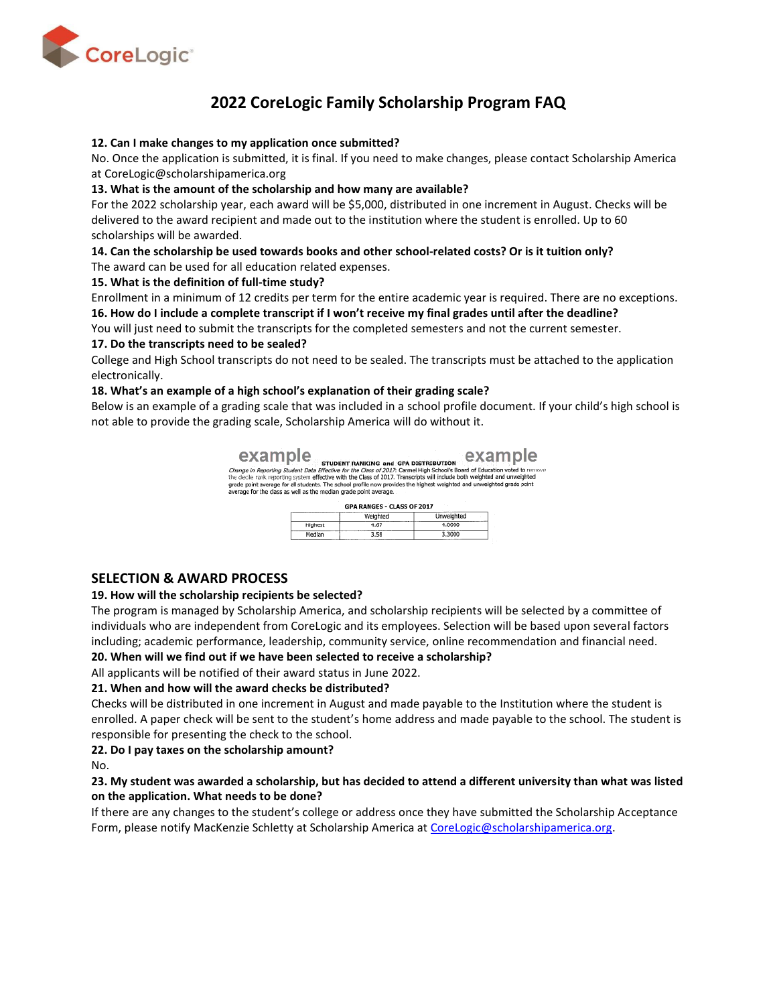

# **2022 CoreLogic Family Scholarship Program FAQ**

#### **12. Can I make changes to my application once submitted?**

No. Once the application is submitted, it is final. If you need to make changes, please contact Scholarship America at CoreLogic@scholarshipamerica.org

#### **13. What is the amount of the scholarship and how many are available?**

For the 2022 scholarship year, each award will be \$5,000, distributed in one increment in August. Checks will be delivered to the award recipient and made out to the institution where the student is enrolled. Up to 60 scholarships will be awarded.

# **14. Can the scholarship be used towards books and other school-related costs? Or is it tuition only?**

The award can be used for all education related expenses.

#### **15. What is the definition of full-time study?**

Enrollment in a minimum of 12 credits per term for the entire academic year is required. There are no exceptions. **16. How do I include a complete transcript if I won't receive my final grades until after the deadline?**

You will just need to submit the transcripts for the completed semesters and not the current semester.

#### **17. Do the transcripts need to be sealed?**

College and High School transcripts do not need to be sealed. The transcripts must be attached to the application electronically.

#### **18. What's an example of a high school's explanation of their grading scale?**

Below is an example of a grading scale that was included in a school profile document. If your child's high school is not able to provide the grading scale, Scholarship America will do without it.

> example student RANKING and GPA DISTRIBUTION eXample Change in Reporting Student Data Effective for the Class of 2017. Tames High School's Board of Education voted to remove and the districtive for the Class of 2017. Tames High School's Board of Education voted to remove<br>the

|         | Weighted | Unweighted |
|---------|----------|------------|
| Highest | 1.67     |            |

# **SELECTION & AWARD PROCESS**

#### **19. How will the scholarship recipients be selected?**

The program is managed by Scholarship America, and scholarship recipients will be selected by a committee of individuals who are independent from CoreLogic and its employees. Selection will be based upon several factors including; academic performance, leadership, community service, online recommendation and financial need.

#### **20. When will we find out if we have been selected to receive a scholarship?**

All applicants will be notified of their award status in June 2022.

# **21. When and how will the award checks be distributed?**

Checks will be distributed in one increment in August and made payable to the Institution where the student is enrolled. A paper check will be sent to the student's home address and made payable to the school. The student is responsible for presenting the check to the school.

# **22. Do I pay taxes on the scholarship amount?**

No.

# **23. My student was awarded a scholarship, but has decided to attend a different university than what was listed on the application. What needs to be done?**

If there are any changes to the student's college or address once they have submitted the Scholarship Acceptance Form, please notify MacKenzie Schletty at Scholarship America at [CoreLogic@scholarshipamerica.org.](mailto:CoreLogic@scholarshipamerica.org)